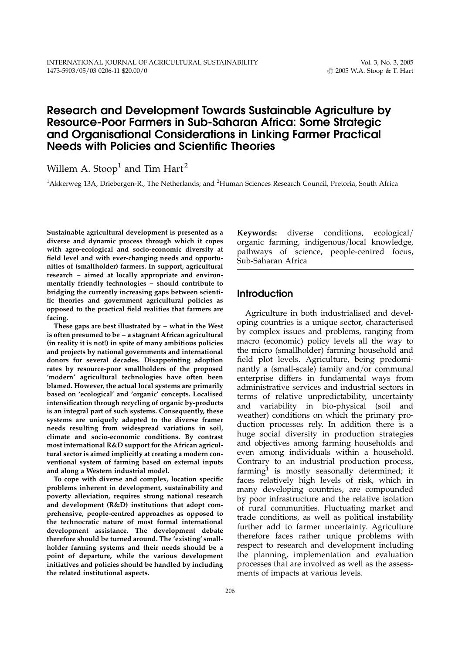# Research and Development Towards Sustainable Agriculture by Resource-Poor Farmers in Sub-Saharan Africa: Some Strategic and Organisational Considerations in Linking Farmer Practical Needs with Policies and Scientific Theories

Willem A. Stoop<sup>1</sup> and Tim Hart<sup>2</sup>

<sup>1</sup>Akkerweg 13A, Driebergen-R., The Netherlands; and <sup>2</sup>Human Sciences Research Council, Pretoria, South Africa

Sustainable agricultural development is presented as a diverse and dynamic process through which it copes with agro-ecological and socio-economic diversity at field level and with ever-changing needs and opportunities of (smallholder) farmers. In support, agricultural research – aimed at locally appropriate and environmentally friendly technologies – should contribute to bridging the currently increasing gaps between scientific theories and government agricultural policies as opposed to the practical field realities that farmers are facing.

These gaps are best illustrated by – what in the West is often presumed to be – a stagnant African agricultural (in reality it is not!) in spite of many ambitious policies and projects by national governments and international donors for several decades. Disappointing adoption rates by resource-poor smallholders of the proposed 'modern' agricultural technologies have often been blamed. However, the actual local systems are primarily based on 'ecological' and 'organic' concepts. Localised intensification through recycling of organic by-products is an integral part of such systems. Consequently, these systems are uniquely adapted to the diverse framer needs resulting from widespread variations in soil, climate and socio-economic conditions. By contrast most international R&D support for the African agricultural sector is aimed implicitly at creating a modern conventional system of farming based on external inputs and along a Western industrial model.

To cope with diverse and complex, location specific problems inherent in development, sustainability and poverty alleviation, requires strong national research and development (R&D) institutions that adopt comprehensive, people-centred approaches as opposed to the technocratic nature of most formal international development assistance. The development debate therefore should be turned around. The 'existing' smallholder farming systems and their needs should be a point of departure, while the various development initiatives and policies should be handled by including the related institutional aspects.

Keywords: diverse conditions, ecological/ organic farming, indigenous/local knowledge, pathways of science, people-centred focus, Sub-Saharan Africa

# **Introduction**

Agriculture in both industrialised and developing countries is a unique sector, characterised by complex issues and problems, ranging from macro (economic) policy levels all the way to the micro (smallholder) farming household and field plot levels. Agriculture, being predominantly a (small-scale) family and/or communal enterprise differs in fundamental ways from administrative services and industrial sectors in terms of relative unpredictability, uncertainty and variability in bio-physical (soil and weather) conditions on which the primary production processes rely. In addition there is a huge social diversity in production strategies and objectives among farming households and even among individuals within a household. Contrary to an industrial production process, farming<sup>1</sup> is mostly seasonally determined; it faces relatively high levels of risk, which in many developing countries, are compounded by poor infrastructure and the relative isolation of rural communities. Fluctuating market and trade conditions, as well as political instability further add to farmer uncertainty. Agriculture therefore faces rather unique problems with respect to research and development including the planning, implementation and evaluation processes that are involved as well as the assessments of impacts at various levels.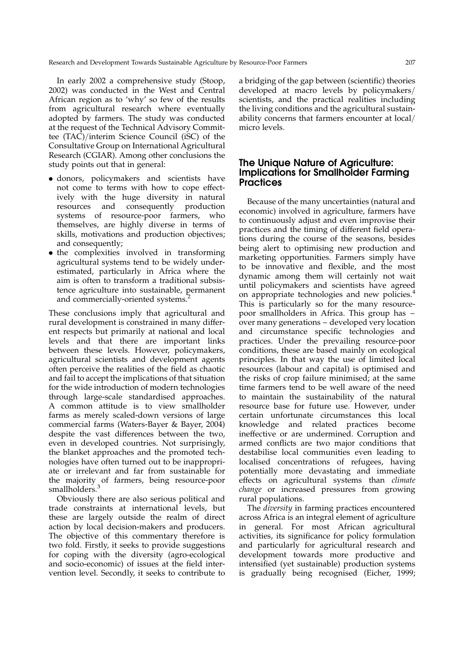In early 2002 a comprehensive study (Stoop, 2002) was conducted in the West and Central African region as to 'why' so few of the results from agricultural research where eventually adopted by farmers. The study was conducted at the request of the Technical Advisory Committee (TAC)/interim Science Council (iSC) of the Consultative Group on International Agricultural Research (CGIAR). Among other conclusions the study points out that in general:

- . donors, policymakers and scientists have not come to terms with how to cope effectively with the huge diversity in natural resources and consequently production systems of resource-poor farmers, who themselves, are highly diverse in terms of skills, motivations and production objectives; and consequently;
- the complexities involved in transforming agricultural systems tend to be widely underestimated, particularly in Africa where the aim is often to transform a traditional subsistence agriculture into sustainable, permanent and commercially-oriented systems.<sup>2</sup>

These conclusions imply that agricultural and rural development is constrained in many different respects but primarily at national and local levels and that there are important links between these levels. However, policymakers, agricultural scientists and development agents often perceive the realities of the field as chaotic and fail to accept the implications of that situation for the wide introduction of modern technologies through large-scale standardised approaches. A common attitude is to view smallholder farms as merely scaled-down versions of large commercial farms (Waters-Bayer & Bayer, 2004) despite the vast differences between the two, even in developed countries. Not surprisingly, the blanket approaches and the promoted technologies have often turned out to be inappropriate or irrelevant and far from sustainable for the majority of farmers, being resource-poor smallholders.<sup>3</sup>

Obviously there are also serious political and trade constraints at international levels, but these are largely outside the realm of direct action by local decision-makers and producers. The objective of this commentary therefore is two fold. Firstly, it seeks to provide suggestions for coping with the diversity (agro-ecological and socio-economic) of issues at the field intervention level. Secondly, it seeks to contribute to

a bridging of the gap between (scientific) theories developed at macro levels by policymakers/ scientists, and the practical realities including the living conditions and the agricultural sustainability concerns that farmers encounter at local/ micro levels.

# The Unique Nature of Agriculture: Implications for Smallholder Farming **Practices**

Because of the many uncertainties (natural and economic) involved in agriculture, farmers have to continuously adjust and even improvise their practices and the timing of different field operations during the course of the seasons, besides being alert to optimising new production and marketing opportunities. Farmers simply have to be innovative and flexible, and the most dynamic among them will certainly not wait until policymakers and scientists have agreed on appropriate technologies and new policies.<sup>4</sup> This is particularly so for the many resourcepoor smallholders in Africa. This group has – over many generations – developed very location and circumstance specific technologies and practices. Under the prevailing resource-poor conditions, these are based mainly on ecological principles. In that way the use of limited local resources (labour and capital) is optimised and the risks of crop failure minimised; at the same time farmers tend to be well aware of the need to maintain the sustainability of the natural resource base for future use. However, under certain unfortunate circumstances this local knowledge and related practices become ineffective or are undermined. Corruption and armed conflicts are two major conditions that destabilise local communities even leading to localised concentrations of refugees, having potentially more devastating and immediate effects on agricultural systems than climate change or increased pressures from growing rural populations.

The *diversity* in farming practices encountered across Africa is an integral element of agriculture in general. For most African agricultural activities, its significance for policy formulation and particularly for agricultural research and development towards more productive and intensified (yet sustainable) production systems is gradually being recognised (Eicher, 1999;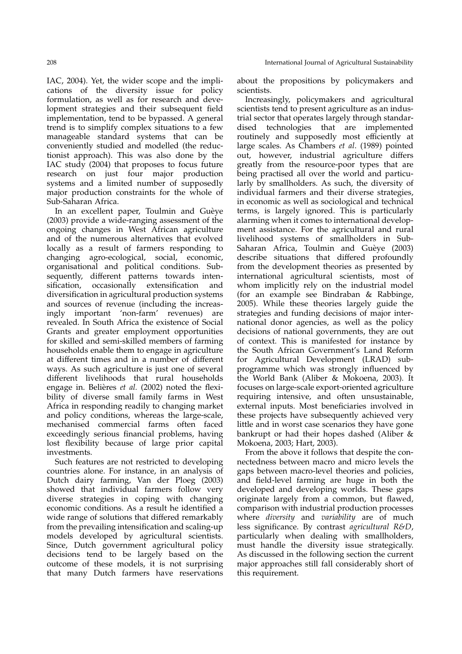IAC, 2004). Yet, the wider scope and the implications of the diversity issue for policy formulation, as well as for research and development strategies and their subsequent field implementation, tend to be bypassed. A general trend is to simplify complex situations to a few manageable standard systems that can be conveniently studied and modelled (the reductionist approach). This was also done by the IAC study (2004) that proposes to focus future research on just four major production systems and a limited number of supposedly major production constraints for the whole of Sub-Saharan Africa.

In an excellent paper, Toulmin and Guève (2003) provide a wide-ranging assessment of the ongoing changes in West African agriculture and of the numerous alternatives that evolved locally as a result of farmers responding to changing agro-ecological, social, economic, organisational and political conditions. Subsequently, different patterns towards intensification, occasionally extensification and diversification in agricultural production systems and sources of revenue (including the increasingly important 'non-farm' revenues) are revealed. In South Africa the existence of Social Grants and greater employment opportunities for skilled and semi-skilled members of farming households enable them to engage in agriculture at different times and in a number of different ways. As such agriculture is just one of several different livelihoods that rural households engage in. Belières *et al.* (2002) noted the flexibility of diverse small family farms in West Africa in responding readily to changing market and policy conditions, whereas the large-scale, mechanised commercial farms often faced exceedingly serious financial problems, having lost flexibility because of large prior capital investments.

Such features are not restricted to developing countries alone. For instance, in an analysis of Dutch dairy farming, Van der Ploeg (2003) showed that individual farmers follow very diverse strategies in coping with changing economic conditions. As a result he identified a wide range of solutions that differed remarkably from the prevailing intensification and scaling-up models developed by agricultural scientists. Since, Dutch government agricultural policy decisions tend to be largely based on the outcome of these models, it is not surprising that many Dutch farmers have reservations

about the propositions by policymakers and scientists.

Increasingly, policymakers and agricultural scientists tend to present agriculture as an industrial sector that operates largely through standardised technologies that are implemented routinely and supposedly most efficiently at large scales. As Chambers et al. (1989) pointed out, however, industrial agriculture differs greatly from the resource-poor types that are being practised all over the world and particularly by smallholders. As such, the diversity of individual farmers and their diverse strategies, in economic as well as sociological and technical terms, is largely ignored. This is particularly alarming when it comes to international development assistance. For the agricultural and rural livelihood systems of smallholders in Sub-Saharan Africa, Toulmin and Guèye (2003) describe situations that differed profoundly from the development theories as presented by international agricultural scientists, most of whom implicitly rely on the industrial model (for an example see Bindraban & Rabbinge, 2005). While these theories largely guide the strategies and funding decisions of major international donor agencies, as well as the policy decisions of national governments, they are out of context. This is manifested for instance by the South African Government's Land Reform for Agricultural Development (LRAD) subprogramme which was strongly influenced by the World Bank (Aliber & Mokoena, 2003). It focuses on large-scale export-oriented agriculture requiring intensive, and often unsustainable, external inputs. Most beneficiaries involved in these projects have subsequently achieved very little and in worst case scenarios they have gone bankrupt or had their hopes dashed (Aliber & Mokoena, 2003; Hart, 2003).

From the above it follows that despite the connectedness between macro and micro levels the gaps between macro-level theories and policies, and field-level farming are huge in both the developed and developing worlds. These gaps originate largely from a common, but flawed, comparison with industrial production processes where *diversity* and *variability* are of much less significance. By contrast agricultural R&D, particularly when dealing with smallholders, must handle the diversity issue strategically. As discussed in the following section the current major approaches still fall considerably short of this requirement.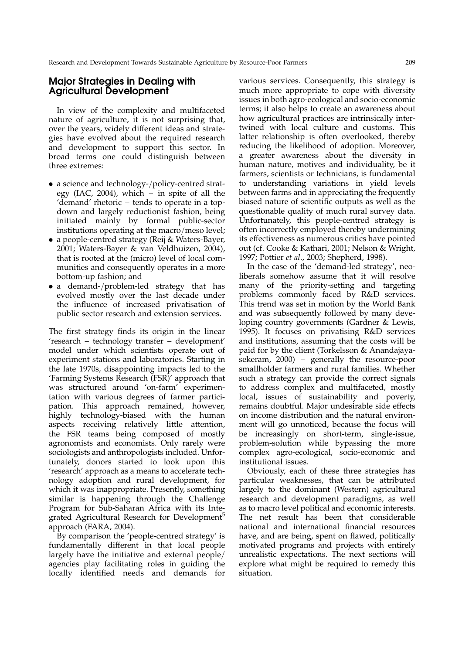## Major Strategies in Dealing with Agricultural Development

In view of the complexity and multifaceted nature of agriculture, it is not surprising that, over the years, widely different ideas and strategies have evolved about the required research and development to support this sector. In broad terms one could distinguish between three extremes:

- . a science and technology-/policy-centred strategy (IAC, 2004), which – in spite of all the 'demand' rhetoric – tends to operate in a topdown and largely reductionist fashion, being initiated mainly by formal public-sector institutions operating at the macro/meso level;
- . a people-centred strategy (Reij & Waters-Bayer, 2001; Waters-Bayer & van Veldhuizen, 2004), that is rooted at the (micro) level of local communities and consequently operates in a more bottom-up fashion; and
- a demand-/problem-led strategy that has evolved mostly over the last decade under the influence of increased privatisation of public sector research and extension services.

The first strategy finds its origin in the linear 'research – technology transfer – development' model under which scientists operate out of experiment stations and laboratories. Starting in the late 1970s, disappointing impacts led to the 'Farming Systems Research (FSR)' approach that was structured around 'on-farm' experimentation with various degrees of farmer participation. This approach remained, however, highly technology-biased with the human aspects receiving relatively little attention, the FSR teams being composed of mostly agronomists and economists. Only rarely were sociologists and anthropologists included. Unfortunately, donors started to look upon this 'research' approach as a means to accelerate technology adoption and rural development, for which it was inappropriate. Presently, something similar is happening through the Challenge Program for Sub-Saharan Africa with its Integrated Agricultural Research for Development<sup>5</sup> approach (FARA, 2004).

By comparison the 'people-centred strategy' is fundamentally different in that local people largely have the initiative and external people/ agencies play facilitating roles in guiding the locally identified needs and demands for various services. Consequently, this strategy is much more appropriate to cope with diversity issues in both agro-ecological and socio-economic terms; it also helps to create an awareness about how agricultural practices are intrinsically intertwined with local culture and customs. This latter relationship is often overlooked, thereby reducing the likelihood of adoption. Moreover, a greater awareness about the diversity in human nature, motives and individuality, be it farmers, scientists or technicians, is fundamental to understanding variations in yield levels between farms and in appreciating the frequently biased nature of scientific outputs as well as the questionable quality of much rural survey data. Unfortunately, this people-centred strategy is often incorrectly employed thereby undermining its effectiveness as numerous critics have pointed out (cf. Cooke & Kathari, 2001; Nelson & Wright, 1997; Pottier et al., 2003; Shepherd, 1998).

In the case of the 'demand-led strategy', neoliberals somehow assume that it will resolve many of the priority-setting and targeting problems commonly faced by R&D services. This trend was set in motion by the World Bank and was subsequently followed by many developing country governments (Gardner & Lewis, 1995). It focuses on privatising R&D services and institutions, assuming that the costs will be paid for by the client (Torkelsson & Anandajayasekeram, 2000) – generally the resource-poor smallholder farmers and rural families. Whether such a strategy can provide the correct signals to address complex and multifaceted, mostly local, issues of sustainability and poverty, remains doubtful. Major undesirable side effects on income distribution and the natural environment will go unnoticed, because the focus will be increasingly on short-term, single-issue, problem-solution while bypassing the more complex agro-ecological, socio-economic and institutional issues.

Obviously, each of these three strategies has particular weaknesses, that can be attributed largely to the dominant (Western) agricultural research and development paradigms, as well as to macro level political and economic interests. The net result has been that considerable national and international financial resources have, and are being, spent on flawed, politically motivated programs and projects with entirely unrealistic expectations. The next sections will explore what might be required to remedy this situation.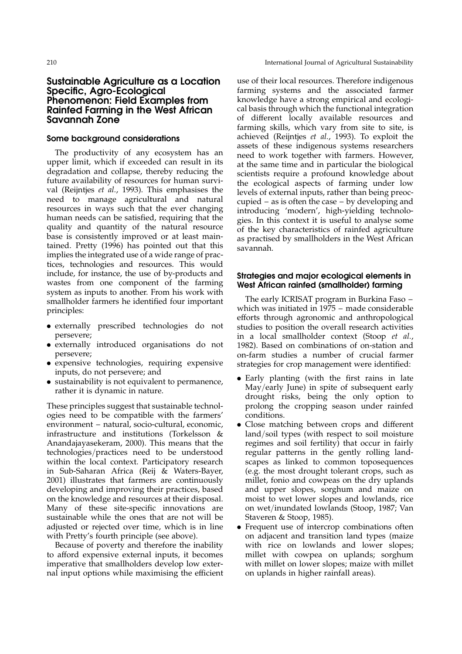# Sustainable Agriculture as a Location Specific, Agro-Ecological Phenomenon: Field Examples from Rainfed Farming in the West African Savannah Zone

#### Some background considerations

The productivity of any ecosystem has an upper limit, which if exceeded can result in its degradation and collapse, thereby reducing the future availability of resources for human survival (Reijntjes et al., 1993). This emphasises the need to manage agricultural and natural resources in ways such that the ever changing human needs can be satisfied, requiring that the quality and quantity of the natural resource base is consistently improved or at least maintained. Pretty (1996) has pointed out that this implies the integrated use of a wide range of practices, technologies and resources. This would include, for instance, the use of by-products and wastes from one component of the farming system as inputs to another. From his work with smallholder farmers he identified four important principles:

- . externally prescribed technologies do not persevere;
- . externally introduced organisations do not persevere;
- . expensive technologies, requiring expensive inputs, do not persevere; and
- . sustainability is not equivalent to permanence, rather it is dynamic in nature.

These principles suggest that sustainable technologies need to be compatible with the farmers' environment – natural, socio-cultural, economic, infrastructure and institutions (Torkelsson & Anandajayasekeram, 2000). This means that the technologies/practices need to be understood within the local context. Participatory research in Sub-Saharan Africa (Reij & Waters-Bayer, 2001) illustrates that farmers are continuously developing and improving their practices, based on the knowledge and resources at their disposal. Many of these site-specific innovations are sustainable while the ones that are not will be adjusted or rejected over time, which is in line with Pretty's fourth principle (see above).

Because of poverty and therefore the inability to afford expensive external inputs, it becomes imperative that smallholders develop low external input options while maximising the efficient use of their local resources. Therefore indigenous farming systems and the associated farmer knowledge have a strong empirical and ecological basis through which the functional integration of different locally available resources and farming skills, which vary from site to site, is achieved (Reijntjes et al., 1993). To exploit the assets of these indigenous systems researchers need to work together with farmers. However, at the same time and in particular the biological scientists require a profound knowledge about the ecological aspects of farming under low levels of external inputs, rather than being preoccupied – as is often the case – by developing and introducing 'modern', high-yielding technologies. In this context it is useful to analyse some of the key characteristics of rainfed agriculture as practised by smallholders in the West African savannah.

#### Strategies and major ecological elements in West African rainfed (smallholder) farming

The early ICRISAT program in Burkina Faso – which was initiated in 1975 – made considerable efforts through agronomic and anthropological studies to position the overall research activities in a local smallholder context (Stoop et al., 1982). Based on combinations of on-station and on-farm studies a number of crucial farmer strategies for crop management were identified:

- . Early planting (with the first rains in late May/early June) in spite of subsequent early drought risks, being the only option to prolong the cropping season under rainfed conditions.
- . Close matching between crops and different land/soil types (with respect to soil moisture regimes and soil fertility) that occur in fairly regular patterns in the gently rolling landscapes as linked to common toposequences (e.g. the most drought tolerant crops, such as millet, fonio and cowpeas on the dry uplands and upper slopes, sorghum and maize on moist to wet lower slopes and lowlands, rice on wet/inundated lowlands (Stoop, 1987; Van Staveren & Stoop, 1985).
- . Frequent use of intercrop combinations often on adjacent and transition land types (maize with rice on lowlands and lower slopes; millet with cowpea on uplands; sorghum with millet on lower slopes; maize with millet on uplands in higher rainfall areas).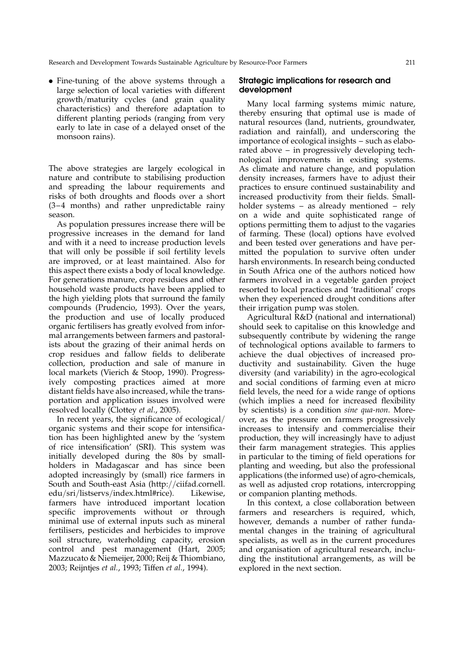Research and Development Towards Sustainable Agriculture by Resource-Poor Farmers 211

. Fine-tuning of the above systems through a large selection of local varieties with different growth/maturity cycles (and grain quality characteristics) and therefore adaptation to different planting periods (ranging from very early to late in case of a delayed onset of the monsoon rains).

The above strategies are largely ecological in nature and contribute to stabilising production and spreading the labour requirements and risks of both droughts and floods over a short  $(3-4$  months) and rather unpredictable rainy season.

As population pressures increase there will be progressive increases in the demand for land and with it a need to increase production levels that will only be possible if soil fertility levels are improved, or at least maintained. Also for this aspect there exists a body of local knowledge. For generations manure, crop residues and other household waste products have been applied to the high yielding plots that surround the family compounds (Prudencio, 1993). Over the years, the production and use of locally produced organic fertilisers has greatly evolved from informal arrangements between farmers and pastoralists about the grazing of their animal herds on crop residues and fallow fields to deliberate collection, production and sale of manure in local markets (Vierich & Stoop, 1990). Progressively composting practices aimed at more distant fields have also increased, while the transportation and application issues involved were resolved locally (Clottey *et al.*, 2005).

In recent years, the significance of ecological/ organic systems and their scope for intensification has been highlighted anew by the 'system of rice intensification' (SRI). This system was initially developed during the 80s by smallholders in Madagascar and has since been adopted increasingly by (small) rice farmers in South and South-east Asia (http://ciifad.cornell. edu/sri/listservs/index.html#rice). Likewise, farmers have introduced important location specific improvements without or through minimal use of external inputs such as mineral fertilisers, pesticides and herbicides to improve soil structure, waterholding capacity, erosion control and pest management (Hart, 2005; Mazzucato & Niemeijer, 2000; Reij & Thiombiano, 2003; Reijntjes et al., 1993; Tiffen et al., 1994).

#### Strategic implications for research and development

Many local farming systems mimic nature, thereby ensuring that optimal use is made of natural resources (land, nutrients, groundwater, radiation and rainfall), and underscoring the importance of ecological insights – such as elaborated above – in progressively developing technological improvements in existing systems. As climate and nature change, and population density increases, farmers have to adjust their practices to ensure continued sustainability and increased productivity from their fields. Smallholder systems – as already mentioned – rely on a wide and quite sophisticated range of options permitting them to adjust to the vagaries of farming. These (local) options have evolved and been tested over generations and have permitted the population to survive often under harsh environments. In research being conducted in South Africa one of the authors noticed how farmers involved in a vegetable garden project resorted to local practices and 'traditional' crops when they experienced drought conditions after their irrigation pump was stolen.

Agricultural R&D (national and international) should seek to capitalise on this knowledge and subsequently contribute by widening the range of technological options available to farmers to achieve the dual objectives of increased productivity and sustainability. Given the huge diversity (and variability) in the agro-ecological and social conditions of farming even at micro field levels, the need for a wide range of options (which implies a need for increased flexibility by scientists) is a condition sine qua-non. Moreover, as the pressure on farmers progressively increases to intensify and commercialise their production, they will increasingly have to adjust their farm management strategies. This applies in particular to the timing of field operations for planting and weeding, but also the professional applications (the informed use) of agro-chemicals, as well as adjusted crop rotations, intercropping or companion planting methods.

In this context, a close collaboration between farmers and researchers is required, which, however, demands a number of rather fundamental changes in the training of agricultural specialists, as well as in the current procedures and organisation of agricultural research, including the institutional arrangements, as will be explored in the next section.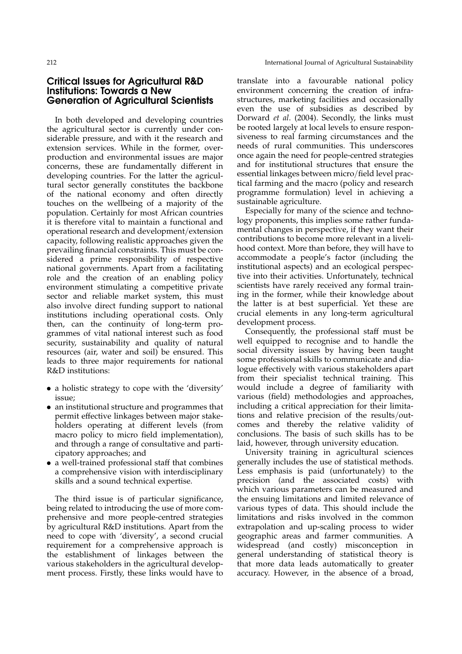# Critical Issues for Agricultural R&D Institutions: Towards a New Generation of Agricultural Scientists

In both developed and developing countries the agricultural sector is currently under considerable pressure, and with it the research and extension services. While in the former, overproduction and environmental issues are major concerns, these are fundamentally different in developing countries. For the latter the agricultural sector generally constitutes the backbone of the national economy and often directly touches on the wellbeing of a majority of the population. Certainly for most African countries it is therefore vital to maintain a functional and operational research and development/extension capacity, following realistic approaches given the prevailing financial constraints. This must be considered a prime responsibility of respective national governments. Apart from a facilitating role and the creation of an enabling policy environment stimulating a competitive private sector and reliable market system, this must also involve direct funding support to national institutions including operational costs. Only then, can the continuity of long-term programmes of vital national interest such as food security, sustainability and quality of natural resources (air, water and soil) be ensured. This leads to three major requirements for national R&D institutions:

- . a holistic strategy to cope with the 'diversity' issue;
- . an institutional structure and programmes that permit effective linkages between major stakeholders operating at different levels (from macro policy to micro field implementation), and through a range of consultative and participatory approaches; and
- . a well-trained professional staff that combines a comprehensive vision with interdisciplinary skills and a sound technical expertise.

The third issue is of particular significance, being related to introducing the use of more comprehensive and more people-centred strategies by agricultural R&D institutions. Apart from the need to cope with 'diversity', a second crucial requirement for a comprehensive approach is the establishment of linkages between the various stakeholders in the agricultural development process. Firstly, these links would have to

translate into a favourable national policy environment concerning the creation of infrastructures, marketing facilities and occasionally even the use of subsidies as described by Dorward et al. (2004). Secondly, the links must be rooted largely at local levels to ensure responsiveness to real farming circumstances and the needs of rural communities. This underscores once again the need for people-centred strategies and for institutional structures that ensure the essential linkages between micro/field level practical farming and the macro (policy and research programme formulation) level in achieving a sustainable agriculture.

Especially for many of the science and technology proponents, this implies some rather fundamental changes in perspective, if they want their contributions to become more relevant in a livelihood context. More than before, they will have to accommodate a people's factor (including the institutional aspects) and an ecological perspective into their activities. Unfortunately, technical scientists have rarely received any formal training in the former, while their knowledge about the latter is at best superficial. Yet these are crucial elements in any long-term agricultural development process.

Consequently, the professional staff must be well equipped to recognise and to handle the social diversity issues by having been taught some professional skills to communicate and dialogue effectively with various stakeholders apart from their specialist technical training. This would include a degree of familiarity with various (field) methodologies and approaches, including a critical appreciation for their limitations and relative precision of the results/outcomes and thereby the relative validity of conclusions. The basis of such skills has to be laid, however, through university education.

University training in agricultural sciences generally includes the use of statistical methods. Less emphasis is paid (unfortunately) to the precision (and the associated costs) with which various parameters can be measured and the ensuing limitations and limited relevance of various types of data. This should include the limitations and risks involved in the common extrapolation and up-scaling process to wider geographic areas and farmer communities. A widespread (and costly) misconception in general understanding of statistical theory is that more data leads automatically to greater accuracy. However, in the absence of a broad,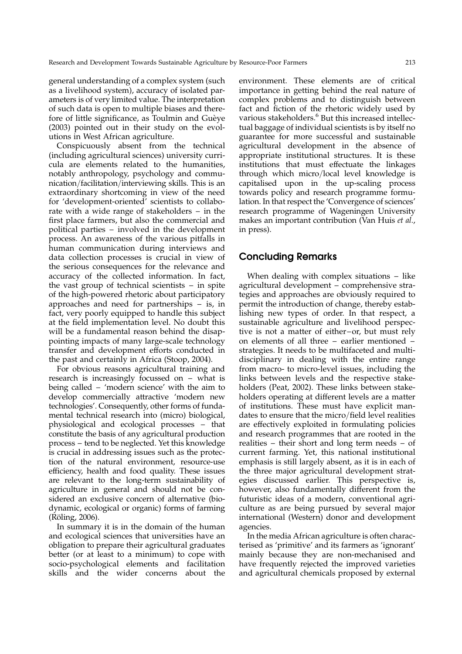general understanding of a complex system (such as a livelihood system), accuracy of isolated parameters is of very limited value. The interpretation of such data is open to multiple biases and therefore of little significance, as Toulmin and Guèye (2003) pointed out in their study on the evolutions in West African agriculture.

Conspicuously absent from the technical (including agricultural sciences) university curricula are elements related to the humanities, notably anthropology, psychology and communication/facilitation/interviewing skills. This is an extraordinary shortcoming in view of the need for 'development-oriented' scientists to collaborate with a wide range of stakeholders – in the first place farmers, but also the commercial and political parties – involved in the development process. An awareness of the various pitfalls in human communication during interviews and data collection processes is crucial in view of the serious consequences for the relevance and accuracy of the collected information. In fact, the vast group of technical scientists – in spite of the high-powered rhetoric about participatory approaches and need for partnerships – is, in fact, very poorly equipped to handle this subject at the field implementation level. No doubt this will be a fundamental reason behind the disappointing impacts of many large-scale technology transfer and development efforts conducted in the past and certainly in Africa (Stoop, 2004).

For obvious reasons agricultural training and research is increasingly focussed on – what is being called – 'modern science' with the aim to develop commercially attractive 'modern new technologies'. Consequently, other forms of fundamental technical research into (micro) biological, physiological and ecological processes – that constitute the basis of any agricultural production process – tend to be neglected. Yet this knowledge is crucial in addressing issues such as the protection of the natural environment, resource-use efficiency, health and food quality. These issues are relevant to the long-term sustainability of agriculture in general and should not be considered an exclusive concern of alternative (biodynamic, ecological or organic) forms of farming (Röling, 2006).

In summary it is in the domain of the human and ecological sciences that universities have an obligation to prepare their agricultural graduates better (or at least to a minimum) to cope with socio-psychological elements and facilitation skills and the wider concerns about the

environment. These elements are of critical importance in getting behind the real nature of complex problems and to distinguish between fact and fiction of the rhetoric widely used by various stakeholders.<sup>6</sup> But this increased intellectual baggage of individual scientists is by itself no guarantee for more successful and sustainable agricultural development in the absence of appropriate institutional structures. It is these institutions that must effectuate the linkages through which micro/local level knowledge is capitalised upon in the up-scaling process towards policy and research programme formulation. In that respect the 'Convergence of sciences' research programme of Wageningen University makes an important contribution (Van Huis et al., in press).

# Concluding Remarks

When dealing with complex situations - like agricultural development – comprehensive strategies and approaches are obviously required to permit the introduction of change, thereby establishing new types of order. In that respect, a sustainable agriculture and livelihood perspective is not a matter of either –or, but must rely on elements of all three – earlier mentioned – strategies. It needs to be multifaceted and multidisciplinary in dealing with the entire range from macro- to micro-level issues, including the links between levels and the respective stakeholders (Peat, 2002). These links between stakeholders operating at different levels are a matter of institutions. These must have explicit mandates to ensure that the micro/field level realities are effectively exploited in formulating policies and research programmes that are rooted in the realities – their short and long term needs – of current farming. Yet, this national institutional emphasis is still largely absent, as it is in each of the three major agricultural development strategies discussed earlier. This perspective is, however, also fundamentally different from the futuristic ideas of a modern, conventional agriculture as are being pursued by several major international (Western) donor and development agencies.

In the media African agriculture is often characterised as 'primitive' and its farmers as 'ignorant' mainly because they are non-mechanised and have frequently rejected the improved varieties and agricultural chemicals proposed by external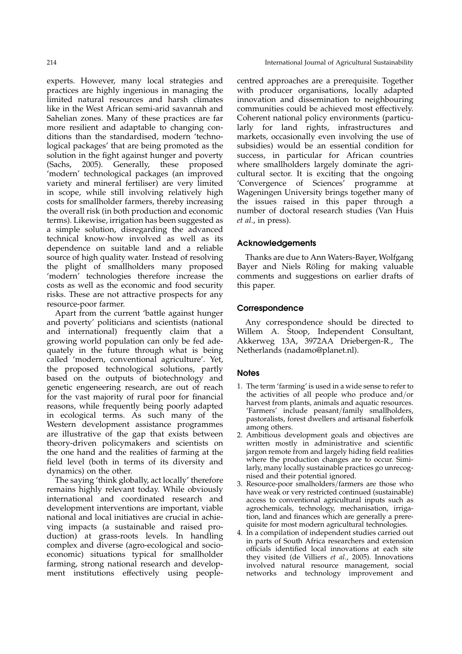experts. However, many local strategies and practices are highly ingenious in managing the limited natural resources and harsh climates like in the West African semi-arid savannah and Sahelian zones. Many of these practices are far more resilient and adaptable to changing conditions than the standardised, modern 'technological packages' that are being promoted as the solution in the fight against hunger and poverty (Sachs, 2005). Generally, these proposed 'modern' technological packages (an improved variety and mineral fertiliser) are very limited in scope, while still involving relatively high costs for smallholder farmers, thereby increasing the overall risk (in both production and economic terms). Likewise, irrigation has been suggested as a simple solution, disregarding the advanced technical know-how involved as well as its dependence on suitable land and a reliable source of high quality water. Instead of resolving the plight of smallholders many proposed 'modern' technologies therefore increase the costs as well as the economic and food security risks. These are not attractive prospects for any resource-poor farmer.

Apart from the current 'battle against hunger and poverty' politicians and scientists (national and international) frequently claim that a growing world population can only be fed adequately in the future through what is being called 'modern, conventional agriculture'. Yet, the proposed technological solutions, partly based on the outputs of biotechnology and genetic engeneering research, are out of reach for the vast majority of rural poor for financial reasons, while frequently being poorly adapted in ecological terms. As such many of the Western development assistance programmes are illustrative of the gap that exists between theory-driven policymakers and scientists on the one hand and the realities of farming at the field level (both in terms of its diversity and dynamics) on the other.

The saying 'think globally, act locally' therefore remains highly relevant today. While obviously international and coordinated research and development interventions are important, viable national and local initiatives are crucial in achieving impacts (a sustainable and raised production) at grass-roots levels. In handling complex and diverse (agro-ecological and socioeconomic) situations typical for smallholder farming, strong national research and development institutions effectively using peoplecentred approaches are a prerequisite. Together with producer organisations, locally adapted innovation and dissemination to neighbouring communities could be achieved most effectively. Coherent national policy environments (particularly for land rights, infrastructures and markets, occasionally even involving the use of subsidies) would be an essential condition for success, in particular for African countries where smallholders largely dominate the agricultural sector. It is exciting that the ongoing 'Convergence of Sciences' programme at Wageningen University brings together many of the issues raised in this paper through a number of doctoral research studies (Van Huis et al., in press).

#### Acknowledgements

Thanks are due to Ann Waters-Bayer, Wolfgang Bayer and Niels Röling for making valuable comments and suggestions on earlier drafts of this paper.

#### Correspondence

Any correspondence should be directed to Willem A. Stoop, Independent Consultant, Akkerweg 13A, 3972AA Driebergen-R., The Netherlands (nadamo@planet.nl).

#### **Notes**

- 1. The term 'farming' is used in a wide sense to refer to the activities of all people who produce and/or harvest from plants, animals and aquatic resources. 'Farmers' include peasant/family smallholders, pastoralists, forest dwellers and artisanal fisherfolk among others.
- 2. Ambitious development goals and objectives are written mostly in administrative and scientific jargon remote from and largely hiding field realities where the production changes are to occur. Similarly, many locally sustainable practices go unrecognised and their potential ignored.
- 3. Resource-poor smalholders/farmers are those who have weak or very restricted continued (sustainable) access to conventional agricultural inputs such as agrochemicals, technology, mechanisation, irrigation, land and finances which are generally a prerequisite for most modern agricultural technologies.
- 4. In a compilation of independent studies carried out in parts of South Africa researchers and extension officials identified local innovations at each site they visited (de Villiers et al., 2005). Innovations involved natural resource management, social networks and technology improvement and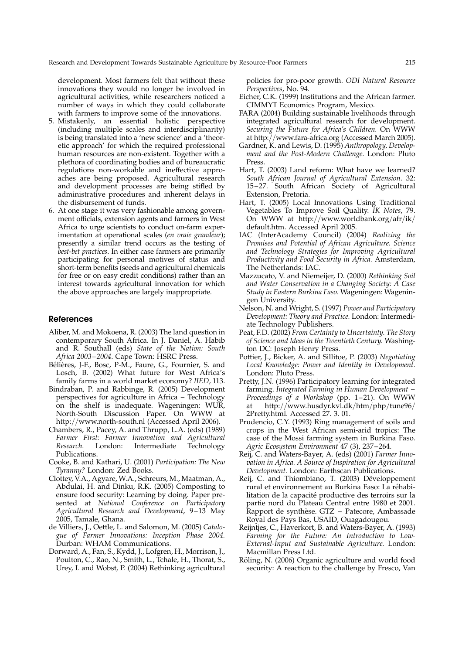Research and Development Towards Sustainable Agriculture by Resource-Poor Farmers 215

development. Most farmers felt that without these innovations they would no longer be involved in agricultural activities, while researchers noticed a number of ways in which they could collaborate with farmers to improve some of the innovations.

- 5. Mistakenly, an essential holistic perspective (including multiple scales and interdisciplinarity) is being translated into a 'new science' and a 'theoretic approach' for which the required professional human resources are non-existent. Together with a plethora of coordinating bodies and of bureaucratic regulations non-workable and ineffective approaches are being proposed. Agricultural research and development processes are being stifled by administrative procedures and inherent delays in the disbursement of funds.
- 6. At one stage it was very fashionable among government officials, extension agents and farmers in West Africa to urge scientists to conduct on-farm experimentation at operational scales (en vraie grandeur); presently a similar trend occurs as the testing of best-bet practices. In either case farmers are primarily participating for personal motives of status and short-term benefits (seeds and agricultural chemicals for free or on easy credit conditions) rather than an interest towards agricultural innovation for which the above approaches are largely inappropriate.

#### References

- Aliber, M. and Mokoena, R. (2003) The land question in contemporary South Africa. In J. Daniel, A. Habib and R. Southall (eds) State of the Nation: South Africa 2003–2004. Cape Town: HSRC Press.
- Bélières, J-F., Bosc, P-M., Faure, G., Fournier, S. and Losch, B. (2002) What future for West Africa's family farms in a world market economy? IIED, 113.
- Bindraban, P. and Rabbinge, R. (2005) Development perspectives for agriculture in Africa – Technology on the shelf is inadequate. Wageningen: WUR, North-South Discussion Paper. On WWW at http://www.north-south.nl (Accessed April 2006).
- Chambers, R., Pacey, A. and Thrupp, L.A. (eds) (1989) Farmer First: Farmer Innovation and Agricultural Research. London: Intermediate Technology Publications.
- Cooke, B. and Kathari, U. (2001) Participation: The New Tyranny? London: Zed Books.
- Clottey, V.A., Agyare, W.A., Schreurs, M., Maatman, A., Abdulai, H. and Dinku, R.K. (2005) Composting to ensure food security: Learning by doing. Paper presented at National Conference on Participatory Agricultural Research and Development, 9–13 May 2005, Tamale, Ghana.
- de Villiers, J., Oettle, L. and Salomon, M. (2005) Catalogue of Farmer Innovations: Inception Phase 2004. Durban: WHAM Communications.
- Dorward, A., Fan, S., Kydd, J., Lofgren, H., Morrison, J., Poulton, C., Rao, N., Smith, L., Tchale, H., Thorat, S., Urey, I. and Wobst, P. (2004) Rethinking agricultural

policies for pro-poor growth. ODI Natural Resource Perspectives, No. 94.

- Eicher, C.K. (1999) Institutions and the African farmer. CIMMYT Economics Program, Mexico.
- FARA (2004) Building sustainable livelihoods through integrated agricultural research for development. Securing the Future for Africa's Children. On WWW at http://www.fara-africa.org (Accessed March 2005).
- Gardner, K. and Lewis, D. (1995) Anthropology, Development and the Post-Modern Challenge. London: Pluto Press.
- Hart, T. (2003) Land reform: What have we learned? South African Journal of Agricultural Extension. 32: 15 –27. South African Society of Agricultural Extension, Pretoria.
- Hart, T. (2005) Local Innovations Using Traditional Vegetables To Improve Soil Quality. IK Notes, 79. On WWW at http://www.worldbank.org/afr/ik/ default.htm. Accessed April 2005.
- IAC (InterAcademy Council) (2004) Realizing the Promises and Potential of African Agriculture. Science and Technology Strategies for Improving Agricultural Productivity and Food Security in Africa. Amsterdam, The Netherlands: IAC.
- Mazzucato, V. and Niemeijer, D. (2000) Rethinking Soil and Water Conservation in a Changing Society: A Case Study in Eastern Burkina Faso. Wageningen: Wageningen University.
- Nelson, N. and Wright, S. (1997) Power and Participatory Development: Theory and Practice. London: Intermediate Technology Publishers.
- Peat, F.D. (2002) From Certainty to Uncertainty. The Story of Science and Ideas in the Twentieth Century. Washington DC: Joseph Henry Press.
- Pottier, J., Bicker, A. and Sillitoe, P. (2003) Negotiating Local Knowledge: Power and Identity in Development. London: Pluto Press.
- Pretty, J.N. (1996) Participatory learning for integrated farming. Integrated Farming in Human Development – Proceedings of a Workshop (pp. 1–21). On WWW at http://www.husdyr.kvl.dk/htm/php/tune96/ 2Pretty.html. Accessed 27. 3. 01.
- Prudencio, C.Y. (1993) Ring management of soils and crops in the West African semi-arid tropics: The case of the Mossi farming system in Burkina Faso. Agric Ecosystem Environment 47 (3), 237–264.
- Reij, C. and Waters-Bayer, A. (eds) (2001) Farmer Innovation in Africa. A Source of Inspiration for Agricultural Development. London: Earthscan Publications.
- Reij, C. and Thiombiano, T. (2003) Développement rural et environnement au Burkina Faso: La réhabilitation de la capacité productive des terroirs sur la partie nord du Plateau Central entre 1980 et 2001. Rapport de synthèse. GTZ – Patecore, Ambassade Royal des Pays Bas, USAID, Ouagadougou.
- Reijntjes, C., Haverkort, B. and Waters-Bayer, A. (1993) Farming for the Future: An Introduction to Low-External-Input and Sustainable Agriculture. London: Macmillan Press Ltd.
- Röling, N. (2006) Organic agriculture and world food security: A reaction to the challenge by Fresco, Van